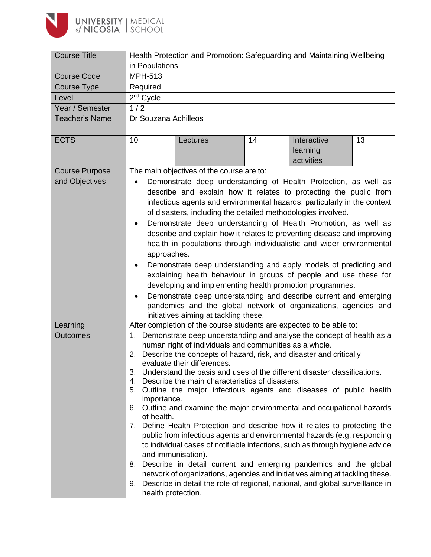

| in Populations<br>MPH-513<br><b>Course Code</b><br>Course Type<br>Required<br>2 <sup>nd</sup> Cycle<br>Level<br>Year / Semester<br>1/2<br><b>Teacher's Name</b><br>Dr Souzana Achilleos<br><b>ECTS</b><br>13<br>10<br>14<br>Interactive<br>Lectures<br>learning<br>activities<br><b>Course Purpose</b><br>The main objectives of the course are to:<br>and Objectives<br>Demonstrate deep understanding of Health Protection, as well as<br>of disasters, including the detailed methodologies involved.<br>$\bullet$<br>approaches.<br>$\bullet$<br>developing and implementing health promotion programmes.<br>initiatives aiming at tackling these.<br>After completion of the course students are expected to be able to:<br>Learning<br><b>Outcomes</b><br>$1_{-}$<br>human right of individuals and communities as a whole.<br>Describe the concepts of hazard, risk, and disaster and critically<br>2.<br>evaluate their differences.<br>Understand the basis and uses of the different disaster classifications.<br>3.<br>Describe the main characteristics of disasters.<br>4.<br>importance.<br>of health. | <b>Course Title</b> | Health Protection and Promotion: Safeguarding and Maintaining Wellbeing                                                                                                                                                                                                                                                                                                                                                                                                                                                                                                                                                                                                                                                                               |  |  |  |  |
|----------------------------------------------------------------------------------------------------------------------------------------------------------------------------------------------------------------------------------------------------------------------------------------------------------------------------------------------------------------------------------------------------------------------------------------------------------------------------------------------------------------------------------------------------------------------------------------------------------------------------------------------------------------------------------------------------------------------------------------------------------------------------------------------------------------------------------------------------------------------------------------------------------------------------------------------------------------------------------------------------------------------------------------------------------------------------------------------------------------------|---------------------|-------------------------------------------------------------------------------------------------------------------------------------------------------------------------------------------------------------------------------------------------------------------------------------------------------------------------------------------------------------------------------------------------------------------------------------------------------------------------------------------------------------------------------------------------------------------------------------------------------------------------------------------------------------------------------------------------------------------------------------------------------|--|--|--|--|
|                                                                                                                                                                                                                                                                                                                                                                                                                                                                                                                                                                                                                                                                                                                                                                                                                                                                                                                                                                                                                                                                                                                      |                     |                                                                                                                                                                                                                                                                                                                                                                                                                                                                                                                                                                                                                                                                                                                                                       |  |  |  |  |
|                                                                                                                                                                                                                                                                                                                                                                                                                                                                                                                                                                                                                                                                                                                                                                                                                                                                                                                                                                                                                                                                                                                      |                     |                                                                                                                                                                                                                                                                                                                                                                                                                                                                                                                                                                                                                                                                                                                                                       |  |  |  |  |
|                                                                                                                                                                                                                                                                                                                                                                                                                                                                                                                                                                                                                                                                                                                                                                                                                                                                                                                                                                                                                                                                                                                      |                     |                                                                                                                                                                                                                                                                                                                                                                                                                                                                                                                                                                                                                                                                                                                                                       |  |  |  |  |
|                                                                                                                                                                                                                                                                                                                                                                                                                                                                                                                                                                                                                                                                                                                                                                                                                                                                                                                                                                                                                                                                                                                      |                     |                                                                                                                                                                                                                                                                                                                                                                                                                                                                                                                                                                                                                                                                                                                                                       |  |  |  |  |
|                                                                                                                                                                                                                                                                                                                                                                                                                                                                                                                                                                                                                                                                                                                                                                                                                                                                                                                                                                                                                                                                                                                      |                     |                                                                                                                                                                                                                                                                                                                                                                                                                                                                                                                                                                                                                                                                                                                                                       |  |  |  |  |
|                                                                                                                                                                                                                                                                                                                                                                                                                                                                                                                                                                                                                                                                                                                                                                                                                                                                                                                                                                                                                                                                                                                      |                     |                                                                                                                                                                                                                                                                                                                                                                                                                                                                                                                                                                                                                                                                                                                                                       |  |  |  |  |
|                                                                                                                                                                                                                                                                                                                                                                                                                                                                                                                                                                                                                                                                                                                                                                                                                                                                                                                                                                                                                                                                                                                      |                     |                                                                                                                                                                                                                                                                                                                                                                                                                                                                                                                                                                                                                                                                                                                                                       |  |  |  |  |
|                                                                                                                                                                                                                                                                                                                                                                                                                                                                                                                                                                                                                                                                                                                                                                                                                                                                                                                                                                                                                                                                                                                      |                     |                                                                                                                                                                                                                                                                                                                                                                                                                                                                                                                                                                                                                                                                                                                                                       |  |  |  |  |
|                                                                                                                                                                                                                                                                                                                                                                                                                                                                                                                                                                                                                                                                                                                                                                                                                                                                                                                                                                                                                                                                                                                      |                     | describe and explain how it relates to protecting the public from<br>infectious agents and environmental hazards, particularly in the context<br>Demonstrate deep understanding of Health Promotion, as well as<br>describe and explain how it relates to preventing disease and improving<br>health in populations through individualistic and wider environmental<br>Demonstrate deep understanding and apply models of predicting and<br>explaining health behaviour in groups of people and use these for<br>Demonstrate deep understanding and describe current and emerging<br>pandemics and the global network of organizations, agencies and                                                                                                  |  |  |  |  |
|                                                                                                                                                                                                                                                                                                                                                                                                                                                                                                                                                                                                                                                                                                                                                                                                                                                                                                                                                                                                                                                                                                                      |                     |                                                                                                                                                                                                                                                                                                                                                                                                                                                                                                                                                                                                                                                                                                                                                       |  |  |  |  |
| 9.                                                                                                                                                                                                                                                                                                                                                                                                                                                                                                                                                                                                                                                                                                                                                                                                                                                                                                                                                                                                                                                                                                                   |                     | Demonstrate deep understanding and analyse the concept of health as a<br>5. Outline the major infectious agents and diseases of public health<br>6. Outline and examine the major environmental and occupational hazards<br>7. Define Health Protection and describe how it relates to protecting the<br>public from infectious agents and environmental hazards (e.g. responding<br>to individual cases of notifiable infections, such as through hygiene advice<br>and immunisation).<br>8. Describe in detail current and emerging pandemics and the global<br>network of organizations, agencies and initiatives aiming at tackling these.<br>Describe in detail the role of regional, national, and global surveillance in<br>health protection. |  |  |  |  |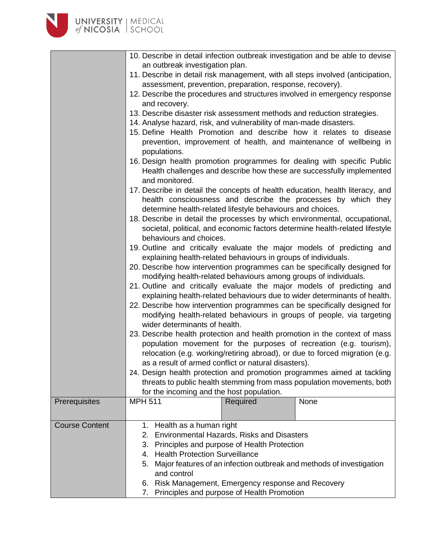| <b>UNIVERSITY   MEDICAL</b><br>of NICOSIA SCHOOL |                                                                                                                                                                                                                                                                                          |  |  |  |  |
|--------------------------------------------------|------------------------------------------------------------------------------------------------------------------------------------------------------------------------------------------------------------------------------------------------------------------------------------------|--|--|--|--|
|                                                  |                                                                                                                                                                                                                                                                                          |  |  |  |  |
|                                                  | 10. Describe in detail infection outbreak investigation and be able to devise<br>an outbreak investigation plan.                                                                                                                                                                         |  |  |  |  |
|                                                  | 11. Describe in detail risk management, with all steps involved (anticipation,                                                                                                                                                                                                           |  |  |  |  |
|                                                  | assessment, prevention, preparation, response, recovery).                                                                                                                                                                                                                                |  |  |  |  |
|                                                  | 12. Describe the procedures and structures involved in emergency response                                                                                                                                                                                                                |  |  |  |  |
|                                                  | and recovery.<br>13. Describe disaster risk assessment methods and reduction strategies.                                                                                                                                                                                                 |  |  |  |  |
|                                                  | 14. Analyse hazard, risk, and vulnerability of man-made disasters.                                                                                                                                                                                                                       |  |  |  |  |
|                                                  | 15. Define Health Promotion and describe how it relates to disease                                                                                                                                                                                                                       |  |  |  |  |
|                                                  | prevention, improvement of health, and maintenance of wellbeing in<br>populations.                                                                                                                                                                                                       |  |  |  |  |
|                                                  | 16. Design health promotion programmes for dealing with specific Public<br>Health challenges and describe how these are successfully implemented<br>and monitored.                                                                                                                       |  |  |  |  |
|                                                  | 17. Describe in detail the concepts of health education, health literacy, and<br>health consciousness and describe the processes by which they<br>determine health-related lifestyle behaviours and choices.                                                                             |  |  |  |  |
|                                                  | 18. Describe in detail the processes by which environmental, occupational,<br>societal, political, and economic factors determine health-related lifestyle<br>behaviours and choices.                                                                                                    |  |  |  |  |
|                                                  | 19. Outline and critically evaluate the major models of predicting and                                                                                                                                                                                                                   |  |  |  |  |
|                                                  | explaining health-related behaviours in groups of individuals.<br>20. Describe how intervention programmes can be specifically designed for<br>modifying health-related behaviours among groups of individuals.                                                                          |  |  |  |  |
|                                                  | 21. Outline and critically evaluate the major models of predicting and<br>explaining health-related behaviours due to wider determinants of health.                                                                                                                                      |  |  |  |  |
|                                                  | 22. Describe how intervention programmes can be specifically designed for                                                                                                                                                                                                                |  |  |  |  |
|                                                  | modifying health-related behaviours in groups of people, via targeting<br>wider determinants of health.                                                                                                                                                                                  |  |  |  |  |
|                                                  | 23. Describe health protection and health promotion in the context of mass                                                                                                                                                                                                               |  |  |  |  |
|                                                  | population movement for the purposes of recreation (e.g. tourism),                                                                                                                                                                                                                       |  |  |  |  |
|                                                  | relocation (e.g. working/retiring abroad), or due to forced migration (e.g.<br>as a result of armed conflict or natural disasters).<br>24. Design health protection and promotion programmes aimed at tackling<br>threats to public health stemming from mass population movements, both |  |  |  |  |
|                                                  |                                                                                                                                                                                                                                                                                          |  |  |  |  |
|                                                  |                                                                                                                                                                                                                                                                                          |  |  |  |  |
|                                                  | for the incoming and the host population.                                                                                                                                                                                                                                                |  |  |  |  |
| Prerequisites                                    | <b>MPH 511</b><br>Required<br>None                                                                                                                                                                                                                                                       |  |  |  |  |
| <b>Course Content</b>                            | Health as a human right<br>1.<br>Environmental Hazards, Risks and Disasters<br>2.<br>Principles and purpose of Health Protection<br>3.<br><b>Health Protection Surveillance</b><br>4.<br>5.                                                                                              |  |  |  |  |
|                                                  |                                                                                                                                                                                                                                                                                          |  |  |  |  |
|                                                  |                                                                                                                                                                                                                                                                                          |  |  |  |  |
|                                                  |                                                                                                                                                                                                                                                                                          |  |  |  |  |
|                                                  | Major features of an infection outbreak and methods of investigation<br>and control                                                                                                                                                                                                      |  |  |  |  |
|                                                  | 6. Risk Management, Emergency response and Recovery                                                                                                                                                                                                                                      |  |  |  |  |
|                                                  | Principles and purpose of Health Promotion<br>7.                                                                                                                                                                                                                                         |  |  |  |  |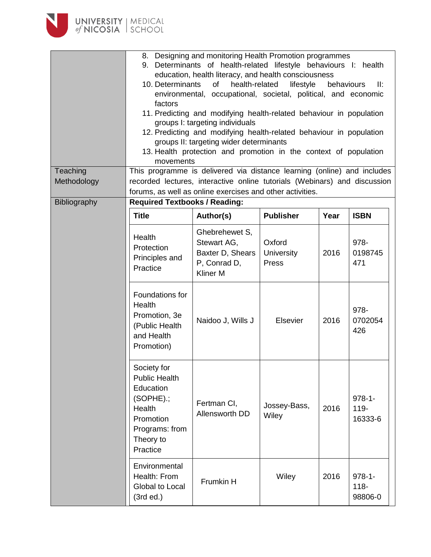

|              | 8.                                                                               | Designing and monitoring Health Promotion programmes                      |                   |      |             |  |
|--------------|----------------------------------------------------------------------------------|---------------------------------------------------------------------------|-------------------|------|-------------|--|
|              | 9. Determinants of health-related lifestyle behaviours I: health                 |                                                                           |                   |      |             |  |
|              | education, health literacy, and health consciousness                             |                                                                           |                   |      |             |  |
|              | 10. Determinants<br>of<br>health-related<br>lifestyle<br>behaviours<br>$\prod$ : |                                                                           |                   |      |             |  |
|              | environmental, occupational, societal, political, and economic                   |                                                                           |                   |      |             |  |
|              | factors                                                                          |                                                                           |                   |      |             |  |
|              |                                                                                  | 11. Predicting and modifying health-related behaviour in population       |                   |      |             |  |
|              |                                                                                  | groups I: targeting individuals                                           |                   |      |             |  |
|              |                                                                                  | 12. Predicting and modifying health-related behaviour in population       |                   |      |             |  |
|              |                                                                                  | groups II: targeting wider determinants                                   |                   |      |             |  |
|              |                                                                                  | 13. Health protection and promotion in the context of population          |                   |      |             |  |
|              | movements                                                                        |                                                                           |                   |      |             |  |
| Teaching     |                                                                                  | This programme is delivered via distance learning (online) and includes   |                   |      |             |  |
| Methodology  |                                                                                  | recorded lectures, interactive online tutorials (Webinars) and discussion |                   |      |             |  |
|              |                                                                                  | forums, as well as online exercises and other activities.                 |                   |      |             |  |
| Bibliography | <b>Required Textbooks / Reading:</b>                                             |                                                                           |                   |      |             |  |
|              | <b>Title</b>                                                                     | Author(s)                                                                 | <b>Publisher</b>  | Year | <b>ISBN</b> |  |
|              |                                                                                  |                                                                           |                   |      |             |  |
|              | Health                                                                           | Ghebrehewet S,                                                            |                   |      |             |  |
|              | Protection                                                                       | Stewart AG,                                                               | Oxford            |      | 978-        |  |
|              |                                                                                  | Baxter D, Shears                                                          | <b>University</b> | 2016 | 0198745     |  |
|              | Principles and<br>Practice                                                       | P, Conrad D,                                                              | Press             |      | 471         |  |
|              |                                                                                  | Kliner M                                                                  |                   |      |             |  |
|              |                                                                                  |                                                                           |                   |      |             |  |
|              | Foundations for                                                                  |                                                                           |                   |      |             |  |
|              | Health                                                                           |                                                                           |                   |      |             |  |
|              | Promotion, 3e                                                                    |                                                                           |                   |      | 978-        |  |
|              | (Public Health                                                                   | Naidoo J, Wills J                                                         | Elsevier          | 2016 | 0702054     |  |
|              | and Health                                                                       |                                                                           |                   |      | 426         |  |
|              | Promotion)                                                                       |                                                                           |                   |      |             |  |
|              |                                                                                  |                                                                           |                   |      |             |  |
|              |                                                                                  |                                                                           |                   |      |             |  |
|              | Society for                                                                      |                                                                           |                   |      |             |  |
|              | <b>Public Health</b>                                                             |                                                                           |                   |      |             |  |
|              | Education                                                                        |                                                                           |                   |      |             |  |
|              | $(SOPHE)$ .;                                                                     | Fertman CI,                                                               |                   |      | $978 - 1 -$ |  |
|              | Health                                                                           | Allensworth DD                                                            | Jossey-Bass,      | 2016 | $119 -$     |  |
|              | Promotion                                                                        |                                                                           | Wiley             |      | 16333-6     |  |
|              | Programs: from                                                                   |                                                                           |                   |      |             |  |
|              | Theory to                                                                        |                                                                           |                   |      |             |  |
|              | Practice                                                                         |                                                                           |                   |      |             |  |
|              |                                                                                  |                                                                           |                   |      |             |  |
|              | Environmental                                                                    |                                                                           |                   |      |             |  |
|              | Health: From                                                                     | Frumkin H                                                                 | Wiley             | 2016 | $978 - 1 -$ |  |
|              | Global to Local                                                                  |                                                                           |                   |      | $118 -$     |  |
|              | (3rd ed.)                                                                        |                                                                           |                   |      | 98806-0     |  |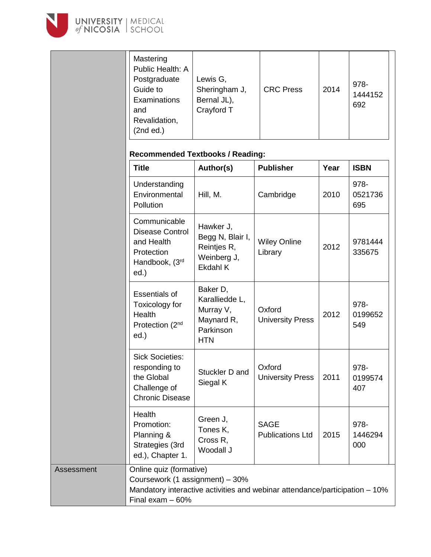

| Mastering<br>Public Health: A<br>Postgraduate<br>Guide to<br>Examinations<br>and<br>Revalidation,<br>(2nd ed.) | Lewis G,<br>Sheringham J,<br>Bernal JL),<br>Crayford T | <b>CRC</b> Press | 2014 | 978-<br>1444152<br>692 |
|----------------------------------------------------------------------------------------------------------------|--------------------------------------------------------|------------------|------|------------------------|
|----------------------------------------------------------------------------------------------------------------|--------------------------------------------------------|------------------|------|------------------------|

## **Recommended Textbooks / Reading:**

|            | <b>Title</b>                                                                                                                                                   | Author(s)                                                                        | <b>Publisher</b>                       | Year | <b>ISBN</b>            |
|------------|----------------------------------------------------------------------------------------------------------------------------------------------------------------|----------------------------------------------------------------------------------|----------------------------------------|------|------------------------|
|            | Understanding<br>Environmental<br>Pollution                                                                                                                    | Hill, M.                                                                         | Cambridge                              | 2010 | 978-<br>0521736<br>695 |
|            | Communicable<br><b>Disease Control</b><br>and Health<br>Protection<br>Handbook, (3rd<br>ed.)                                                                   | Hawker J,<br>Begg N, Blair I,<br>Reintjes R,<br>Weinberg J,<br>Ekdahl K          | <b>Wiley Online</b><br>Library         | 2012 | 9781444<br>335675      |
|            | <b>Essentials of</b><br>Toxicology for<br>Health<br>Protection (2 <sup>nd</sup><br>$ed.$ )                                                                     | Baker D,<br>Karalliedde L,<br>Murray V,<br>Maynard R,<br>Parkinson<br><b>HTN</b> | Oxford<br><b>University Press</b>      | 2012 | 978-<br>0199652<br>549 |
|            | <b>Sick Societies:</b><br>responding to<br>the Global<br>Challenge of<br><b>Chronic Disease</b>                                                                | Stuckler D and<br>Siegal K                                                       | Oxford<br><b>University Press</b>      | 2011 | 978-<br>0199574<br>407 |
|            | Health<br>Promotion:<br>Planning &<br>Strategies (3rd<br>ed.), Chapter 1.                                                                                      | Green J,<br>Tones K,<br>Cross R,<br>Woodall J                                    | <b>SAGE</b><br><b>Publications Ltd</b> | 2015 | 978-<br>1446294<br>000 |
| Assessment | Online quiz (formative)<br>Coursework (1 assignment) - 30%<br>Mandatory interactive activities and webinar attendance/participation - 10%<br>Final exam $-60%$ |                                                                                  |                                        |      |                        |